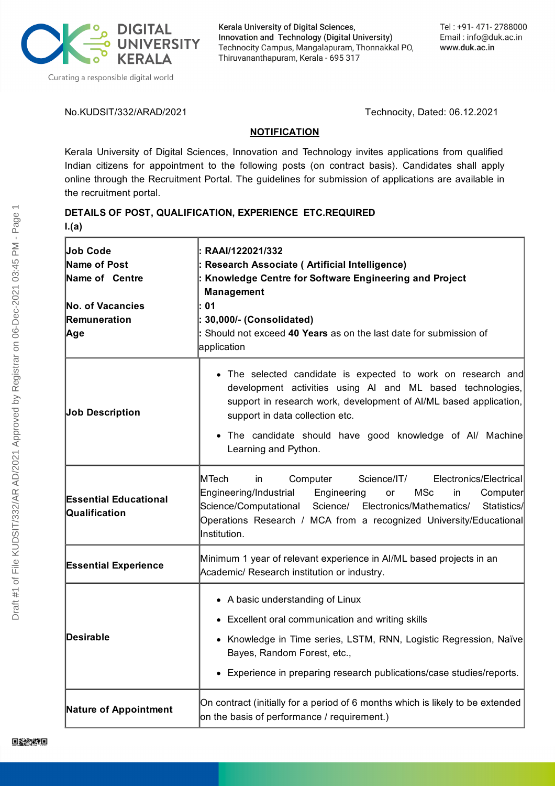

Kerala University of Digital Sciences, Innovation and Technology (Digital University) Technocity Campus, Mangalapuram, Thonnakkal PO, Thiruvananthapuram, Kerala - 695 317

No.KUDSIT/332/ARAD/2021 Technocity, Dated: 06.12.2021

## **NOTIFICATION**

Kerala University of Digital Sciences, Innovation and Technology invites applications from qualified Indian citizens for appointment to the following posts (on contract basis). Candidates shall apply online through the Recruitment Portal. The guidelines for submission of applications are available in the recruitment portal.

# **DETAILS OF POST, QUALIFICATION, EXPERIENCE ETC.REQUIRED I.(a)**

| <b>Job Code</b><br>Name of Post<br>Name of Centre<br>No. of Vacancies<br>Remuneration<br> Age | : RAAI/122021/332<br>: Research Associate ( Artificial Intelligence)<br>Knowledge Centre for Software Engineering and Project<br>Management<br>: 01<br>: 30,000/- (Consolidated)<br>: Should not exceed 40 Years as on the last date for submission of<br>application                                                   |
|-----------------------------------------------------------------------------------------------|-------------------------------------------------------------------------------------------------------------------------------------------------------------------------------------------------------------------------------------------------------------------------------------------------------------------------|
| <b>Job Description</b>                                                                        | • The selected candidate is expected to work on research and<br>development activities using AI and ML based technologies,<br>support in research work, development of AI/ML based application,<br>support in data collection etc.<br>• The candidate should have good knowledge of Al/ Machine<br>Learning and Python. |
| <b>Essential Educational</b><br>Qualification                                                 | MTech<br>Computer<br>Science/IT/<br>Electronics/Electrical<br>in.<br>Engineering/Industrial<br>Engineering<br><b>MSc</b><br>Computer<br><b>or</b><br>in<br>Science/Computational Science/ Electronics/Mathematics/<br>Statistics/<br>Operations Research / MCA from a recognized University/Educational<br>Institution. |
| <b>Essential Experience</b>                                                                   | Minimum 1 year of relevant experience in AI/ML based projects in an<br>Academic/ Research institution or industry.                                                                                                                                                                                                      |
| Desirable                                                                                     | • A basic understanding of Linux<br>• Excellent oral communication and writing skills<br>• Knowledge in Time series, LSTM, RNN, Logistic Regression, Naïve<br>Bayes, Random Forest, etc.,<br>• Experience in preparing research publications/case studies/reports.                                                      |
| <b>Nature of Appointment</b>                                                                  | On contract (initially for a period of 6 months which is likely to be extended<br>on the basis of performance / requirement.)                                                                                                                                                                                           |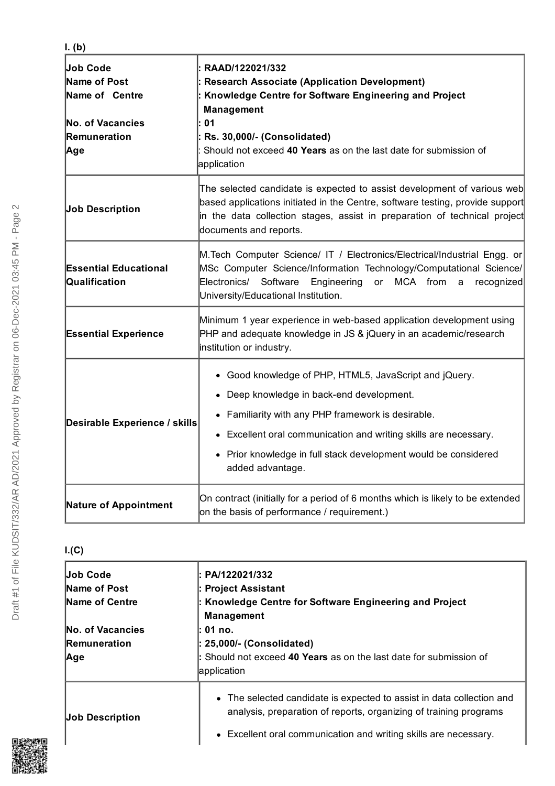| Job Code<br>Name of Post<br>Name of Centre<br><b>No. of Vacancies</b><br>Remuneration<br>Age | RAAD/122021/332<br><b>Research Associate (Application Development)</b><br>Knowledge Centre for Software Engineering and Project<br>Management<br>01<br>Rs. 30,000/- (Consolidated)<br>Should not exceed 40 Years as on the last date for submission of<br>application                                                |
|----------------------------------------------------------------------------------------------|----------------------------------------------------------------------------------------------------------------------------------------------------------------------------------------------------------------------------------------------------------------------------------------------------------------------|
| <b>Job Description</b>                                                                       | The selected candidate is expected to assist development of various web<br>based applications initiated in the Centre, software testing, provide support<br>in the data collection stages, assist in preparation of technical project<br>documents and reports.                                                      |
| <b>Essential Educational</b><br>Qualification                                                | M. Tech Computer Science/ IT / Electronics/Electrical/Industrial Engg. or<br>MSc Computer Science/Information Technology/Computational Science/<br>Electronics/ Software<br>Engineering<br>MCA from<br>or<br>$\mathsf{a}$<br>recognized<br>University/Educational Institution.                                       |
| <b>Essential Experience</b>                                                                  | Minimum 1 year experience in web-based application development using<br>PHP and adequate knowledge in JS & jQuery in an academic/research<br>institution or industry.                                                                                                                                                |
| Desirable Experience / skills                                                                | • Good knowledge of PHP, HTML5, JavaScript and jQuery.<br>• Deep knowledge in back-end development.<br>• Familiarity with any PHP framework is desirable.<br>• Excellent oral communication and writing skills are necessary.<br>• Prior knowledge in full stack development would be considered<br>added advantage. |
| <b>Nature of Appointment</b>                                                                 | On contract (initially for a period of 6 months which is likely to be extended<br>on the basis of performance / requirement.)                                                                                                                                                                                        |

# **I.(C)**

| <b>Job Code</b>     | l: PA/122021/332                                                                                                                           |
|---------------------|--------------------------------------------------------------------------------------------------------------------------------------------|
| Name of Post        | : Project Assistant                                                                                                                        |
| Name of Centre      | : Knowledge Centre for Software Engineering and Project<br><b>Management</b>                                                               |
| No. of Vacancies    | l: 01 no.                                                                                                                                  |
| <b>Remuneration</b> | : 25,000/- (Consolidated)                                                                                                                  |
| Age                 | : Should not exceed 40 Years as on the last date for submission of<br>application                                                          |
| Job Description     | • The selected candidate is expected to assist in data collection and<br>analysis, preparation of reports, organizing of training programs |
|                     | • Excellent oral communication and writing skills are necessary.                                                                           |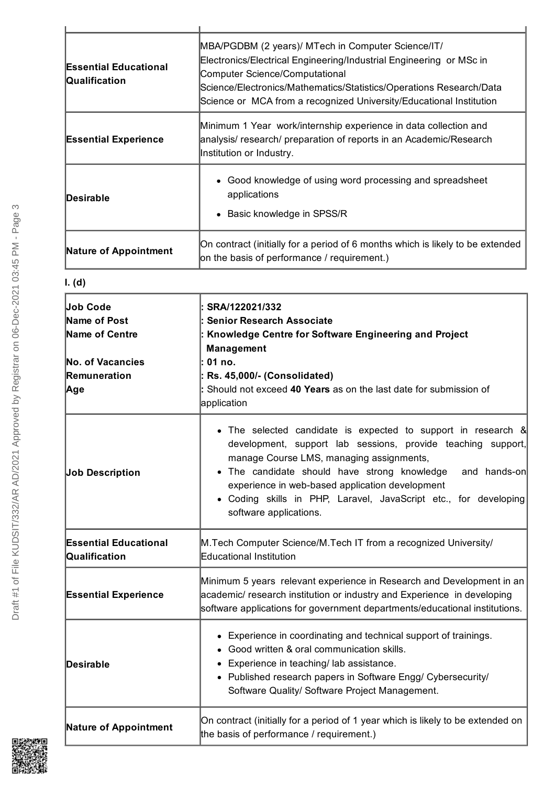| <b>Essential Educational</b><br>Qualification | MBA/PGDBM (2 years)/ MTech in Computer Science/IT/<br>Electronics/Electrical Engineering/Industrial Engineering or MSc in<br><b>Computer Science/Computational</b><br>Science/Electronics/Mathematics/Statistics/Operations Research/Data<br>Science or MCA from a recognized University/Educational Institution |
|-----------------------------------------------|------------------------------------------------------------------------------------------------------------------------------------------------------------------------------------------------------------------------------------------------------------------------------------------------------------------|
| <b>Essential Experience</b>                   | Minimum 1 Year work/internship experience in data collection and<br>analysis/ research/ preparation of reports in an Academic/Research<br>Institution or Industry.                                                                                                                                               |
| Desirable                                     | Good knowledge of using word processing and spreadsheet<br>$\bullet$<br>applications<br>Basic knowledge in SPSS/R                                                                                                                                                                                                |
| <b>Nature of Appointment</b>                  | On contract (initially for a period of 6 months which is likely to be extended<br>on the basis of performance / requirement.)                                                                                                                                                                                    |

**I. (d)**

| Job Code                                      | SRA/122021/332                                                                                                                                                                                                                                                                                                                                                                             |
|-----------------------------------------------|--------------------------------------------------------------------------------------------------------------------------------------------------------------------------------------------------------------------------------------------------------------------------------------------------------------------------------------------------------------------------------------------|
| Name of Post                                  | : Senior Research Associate                                                                                                                                                                                                                                                                                                                                                                |
| Name of Centre                                | : Knowledge Centre for Software Engineering and Project                                                                                                                                                                                                                                                                                                                                    |
|                                               | <b>Management</b>                                                                                                                                                                                                                                                                                                                                                                          |
| <b>No. of Vacancies</b>                       | l: 01 no.                                                                                                                                                                                                                                                                                                                                                                                  |
| Remuneration                                  | $:$ Rs. 45,000/- (Consolidated)                                                                                                                                                                                                                                                                                                                                                            |
| Age                                           | : Should not exceed 40 Years as on the last date for submission of<br>application                                                                                                                                                                                                                                                                                                          |
| <b>Job Description</b>                        | • The selected candidate is expected to support in research &<br>development, support lab sessions, provide teaching support,<br>manage Course LMS, managing assignments,<br>• The candidate should have strong knowledge<br>and hands-on<br>experience in web-based application development<br>• Coding skills in PHP, Laravel, JavaScript etc., for developing<br>software applications. |
| <b>Essential Educational</b><br>Qualification | M. Tech Computer Science/M. Tech IT from a recognized University/<br>Educational Institution                                                                                                                                                                                                                                                                                               |
| <b>Essential Experience</b>                   | Minimum 5 years relevant experience in Research and Development in an<br>academic/ research institution or industry and Experience in developing<br>software applications for government departments/educational institutions.                                                                                                                                                             |
| <b>Desirable</b>                              | • Experience in coordinating and technical support of trainings.<br>• Good written & oral communication skills.<br>• Experience in teaching/ lab assistance.<br>• Published research papers in Software Engg/ Cybersecurity/<br>Software Quality/ Software Project Management.                                                                                                             |
| <b>Nature of Appointment</b>                  | On contract (initially for a period of 1 year which is likely to be extended on<br>the basis of performance / requirement.)                                                                                                                                                                                                                                                                |